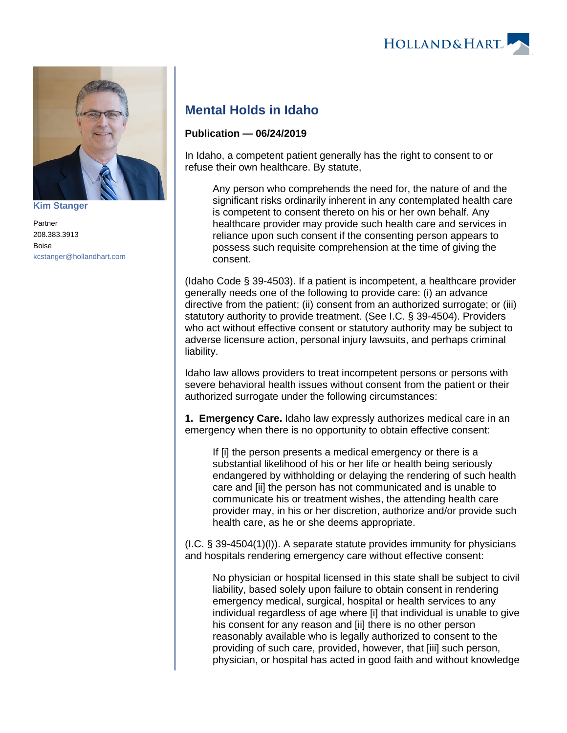



**[Kim Stanger](https://www.hollandhart.com/15954)**

Partner 208.383.3913 Boise [kcstanger@hollandhart.com](mailto:kcstanger@hollandhart.com)

## **Mental Holds in Idaho**

## **Publication — 06/24/2019**

In Idaho, a competent patient generally has the right to consent to or refuse their own healthcare. By statute,

Any person who comprehends the need for, the nature of and the significant risks ordinarily inherent in any contemplated health care is competent to consent thereto on his or her own behalf. Any healthcare provider may provide such health care and services in reliance upon such consent if the consenting person appears to possess such requisite comprehension at the time of giving the consent.

(Idaho Code § 39-4503). If a patient is incompetent, a healthcare provider generally needs one of the following to provide care: (i) an advance directive from the patient; (ii) consent from an authorized surrogate; or (iii) statutory authority to provide treatment. (See I.C. § 39-4504). Providers who act without effective consent or statutory authority may be subject to adverse licensure action, personal injury lawsuits, and perhaps criminal liability.

Idaho law allows providers to treat incompetent persons or persons with severe behavioral health issues without consent from the patient or their authorized surrogate under the following circumstances:

**1. Emergency Care.** Idaho law expressly authorizes medical care in an emergency when there is no opportunity to obtain effective consent:

If [i] the person presents a medical emergency or there is a substantial likelihood of his or her life or health being seriously endangered by withholding or delaying the rendering of such health care and [ii] the person has not communicated and is unable to communicate his or treatment wishes, the attending health care provider may, in his or her discretion, authorize and/or provide such health care, as he or she deems appropriate.

(I.C. § 39-4504(1)(l)). A separate statute provides immunity for physicians and hospitals rendering emergency care without effective consent:

No physician or hospital licensed in this state shall be subject to civil liability, based solely upon failure to obtain consent in rendering emergency medical, surgical, hospital or health services to any individual regardless of age where [i] that individual is unable to give his consent for any reason and [ii] there is no other person reasonably available who is legally authorized to consent to the providing of such care, provided, however, that [iii] such person, physician, or hospital has acted in good faith and without knowledge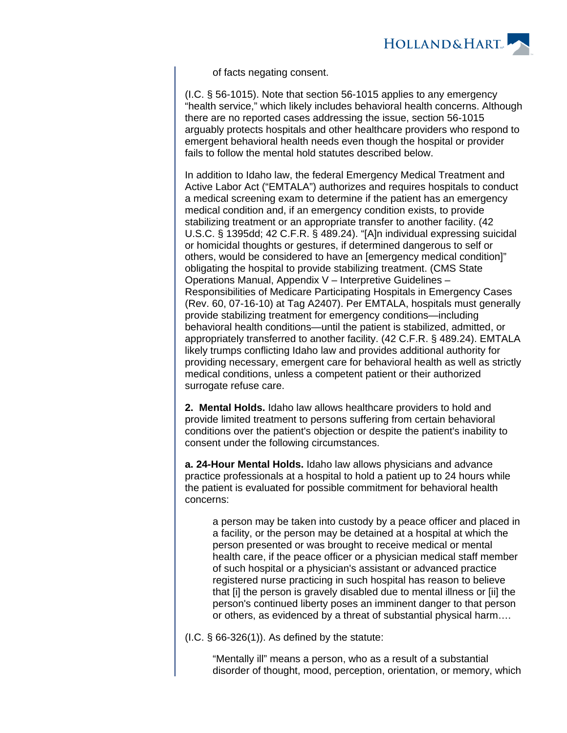

of facts negating consent.

(I.C. § 56-1015). Note that section 56-1015 applies to any emergency "health service," which likely includes behavioral health concerns. Although there are no reported cases addressing the issue, section 56-1015 arguably protects hospitals and other healthcare providers who respond to emergent behavioral health needs even though the hospital or provider fails to follow the mental hold statutes described below.

In addition to Idaho law, the federal Emergency Medical Treatment and Active Labor Act ("EMTALA") authorizes and requires hospitals to conduct a medical screening exam to determine if the patient has an emergency medical condition and, if an emergency condition exists, to provide stabilizing treatment or an appropriate transfer to another facility. (42 U.S.C. § 1395dd; 42 C.F.R. § 489.24). "[A]n individual expressing suicidal or homicidal thoughts or gestures, if determined dangerous to self or others, would be considered to have an [emergency medical condition]" obligating the hospital to provide stabilizing treatment. (CMS State Operations Manual, Appendix V – Interpretive Guidelines – Responsibilities of Medicare Participating Hospitals in Emergency Cases (Rev. 60, 07-16-10) at Tag A2407). Per EMTALA, hospitals must generally provide stabilizing treatment for emergency conditions—including behavioral health conditions—until the patient is stabilized, admitted, or appropriately transferred to another facility. (42 C.F.R. § 489.24). EMTALA likely trumps conflicting Idaho law and provides additional authority for providing necessary, emergent care for behavioral health as well as strictly medical conditions, unless a competent patient or their authorized surrogate refuse care.

**2. Mental Holds.** Idaho law allows healthcare providers to hold and provide limited treatment to persons suffering from certain behavioral conditions over the patient's objection or despite the patient's inability to consent under the following circumstances.

**a. 24-Hour Mental Holds.** Idaho law allows physicians and advance practice professionals at a hospital to hold a patient up to 24 hours while the patient is evaluated for possible commitment for behavioral health concerns:

a person may be taken into custody by a peace officer and placed in a facility, or the person may be detained at a hospital at which the person presented or was brought to receive medical or mental health care, if the peace officer or a physician medical staff member of such hospital or a physician's assistant or advanced practice registered nurse practicing in such hospital has reason to believe that [i] the person is gravely disabled due to mental illness or [ii] the person's continued liberty poses an imminent danger to that person or others, as evidenced by a threat of substantial physical harm….

 $(1.C. § 66-326(1))$ . As defined by the statute:

"Mentally ill" means a person, who as a result of a substantial disorder of thought, mood, perception, orientation, or memory, which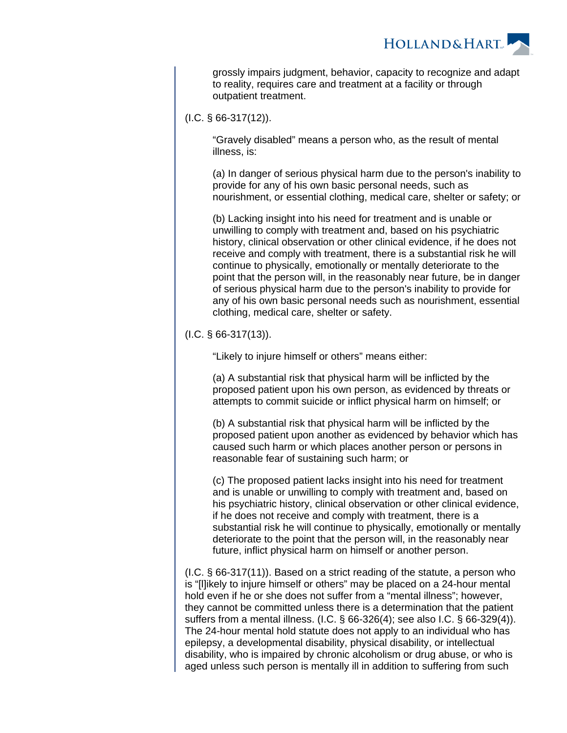

grossly impairs judgment, behavior, capacity to recognize and adapt to reality, requires care and treatment at a facility or through outpatient treatment.

(I.C. § 66-317(12)).

"Gravely disabled" means a person who, as the result of mental illness, is:

(a) In danger of serious physical harm due to the person's inability to provide for any of his own basic personal needs, such as nourishment, or essential clothing, medical care, shelter or safety; or

(b) Lacking insight into his need for treatment and is unable or unwilling to comply with treatment and, based on his psychiatric history, clinical observation or other clinical evidence, if he does not receive and comply with treatment, there is a substantial risk he will continue to physically, emotionally or mentally deteriorate to the point that the person will, in the reasonably near future, be in danger of serious physical harm due to the person's inability to provide for any of his own basic personal needs such as nourishment, essential clothing, medical care, shelter or safety.

 $(I.C. § 66-317(13))$ .

"Likely to injure himself or others" means either:

(a) A substantial risk that physical harm will be inflicted by the proposed patient upon his own person, as evidenced by threats or attempts to commit suicide or inflict physical harm on himself; or

(b) A substantial risk that physical harm will be inflicted by the proposed patient upon another as evidenced by behavior which has caused such harm or which places another person or persons in reasonable fear of sustaining such harm; or

(c) The proposed patient lacks insight into his need for treatment and is unable or unwilling to comply with treatment and, based on his psychiatric history, clinical observation or other clinical evidence, if he does not receive and comply with treatment, there is a substantial risk he will continue to physically, emotionally or mentally deteriorate to the point that the person will, in the reasonably near future, inflict physical harm on himself or another person.

(I.C. § 66-317(11)). Based on a strict reading of the statute, a person who is "[l]ikely to injure himself or others" may be placed on a 24-hour mental hold even if he or she does not suffer from a "mental illness"; however, they cannot be committed unless there is a determination that the patient suffers from a mental illness. (I.C. § 66-326(4); see also I.C. § 66-329(4)). The 24-hour mental hold statute does not apply to an individual who has epilepsy, a developmental disability, physical disability, or intellectual disability, who is impaired by chronic alcoholism or drug abuse, or who is aged unless such person is mentally ill in addition to suffering from such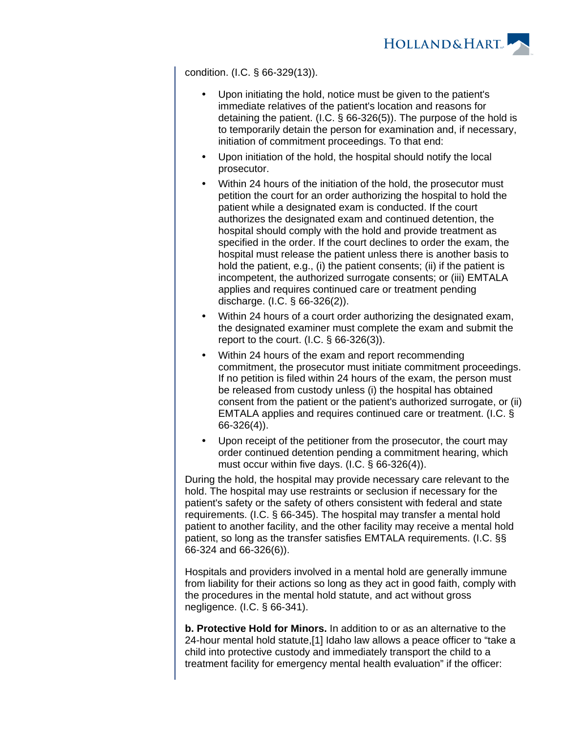

condition. (I.C. § 66-329(13)).

- Upon initiating the hold, notice must be given to the patient's immediate relatives of the patient's location and reasons for detaining the patient. (I.C. § 66-326(5)). The purpose of the hold is to temporarily detain the person for examination and, if necessary, initiation of commitment proceedings. To that end:
- Upon initiation of the hold, the hospital should notify the local prosecutor.
- Within 24 hours of the initiation of the hold, the prosecutor must petition the court for an order authorizing the hospital to hold the patient while a designated exam is conducted. If the court authorizes the designated exam and continued detention, the hospital should comply with the hold and provide treatment as specified in the order. If the court declines to order the exam, the hospital must release the patient unless there is another basis to hold the patient, e.g., (i) the patient consents; (ii) if the patient is incompetent, the authorized surrogate consents; or (iii) EMTALA applies and requires continued care or treatment pending discharge. (I.C. § 66-326(2)).
- Within 24 hours of a court order authorizing the designated exam, the designated examiner must complete the exam and submit the report to the court.  $(I.C. \S 66-326(3))$ .
- Within 24 hours of the exam and report recommending commitment, the prosecutor must initiate commitment proceedings. If no petition is filed within 24 hours of the exam, the person must be released from custody unless (i) the hospital has obtained consent from the patient or the patient's authorized surrogate, or (ii) EMTALA applies and requires continued care or treatment. (I.C. § 66-326(4)).
- Upon receipt of the petitioner from the prosecutor, the court may order continued detention pending a commitment hearing, which must occur within five days. (I.C. § 66-326(4)).

During the hold, the hospital may provide necessary care relevant to the hold. The hospital may use restraints or seclusion if necessary for the patient's safety or the safety of others consistent with federal and state requirements. (I.C. § 66-345). The hospital may transfer a mental hold patient to another facility, and the other facility may receive a mental hold patient, so long as the transfer satisfies EMTALA requirements. (I.C. §§ 66-324 and 66-326(6)).

Hospitals and providers involved in a mental hold are generally immune from liability for their actions so long as they act in good faith, comply with the procedures in the mental hold statute, and act without gross negligence. (I.C. § 66-341).

**b. Protective Hold for Minors.** In addition to or as an alternative to the 24-hour mental hold statute,[1] Idaho law allows a peace officer to "take a child into protective custody and immediately transport the child to a treatment facility for emergency mental health evaluation" if the officer: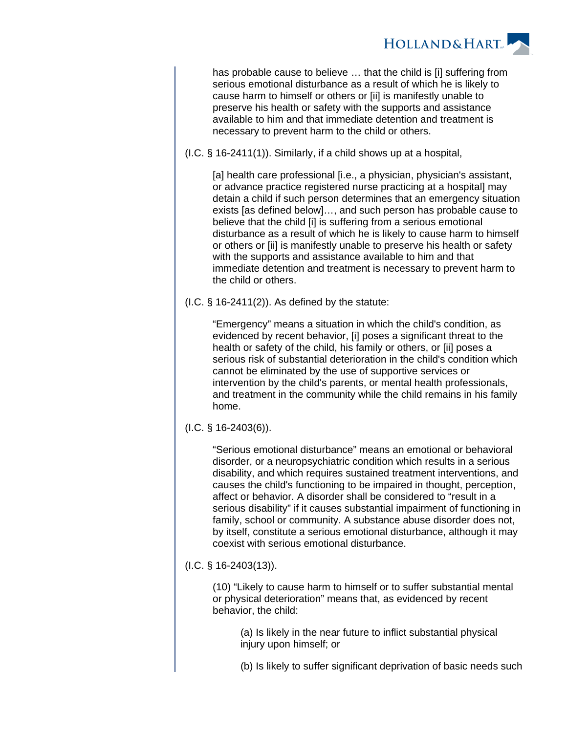

has probable cause to believe … that the child is [i] suffering from serious emotional disturbance as a result of which he is likely to cause harm to himself or others or [ii] is manifestly unable to preserve his health or safety with the supports and assistance available to him and that immediate detention and treatment is necessary to prevent harm to the child or others.

(I.C. § 16-2411(1)). Similarly, if a child shows up at a hospital,

[a] health care professional [i.e., a physician, physician's assistant, or advance practice registered nurse practicing at a hospital] may detain a child if such person determines that an emergency situation exists [as defined below]…, and such person has probable cause to believe that the child [i] is suffering from a serious emotional disturbance as a result of which he is likely to cause harm to himself or others or [ii] is manifestly unable to preserve his health or safety with the supports and assistance available to him and that immediate detention and treatment is necessary to prevent harm to the child or others.

 $(1.C. § 16-2411(2))$ . As defined by the statute:

"Emergency" means a situation in which the child's condition, as evidenced by recent behavior, [i] poses a significant threat to the health or safety of the child, his family or others, or [ii] poses a serious risk of substantial deterioration in the child's condition which cannot be eliminated by the use of supportive services or intervention by the child's parents, or mental health professionals, and treatment in the community while the child remains in his family home.

(I.C. § 16-2403(6)).

"Serious emotional disturbance" means an emotional or behavioral disorder, or a neuropsychiatric condition which results in a serious disability, and which requires sustained treatment interventions, and causes the child's functioning to be impaired in thought, perception, affect or behavior. A disorder shall be considered to "result in a serious disability" if it causes substantial impairment of functioning in family, school or community. A substance abuse disorder does not, by itself, constitute a serious emotional disturbance, although it may coexist with serious emotional disturbance.

(I.C. § 16-2403(13)).

(10) "Likely to cause harm to himself or to suffer substantial mental or physical deterioration" means that, as evidenced by recent behavior, the child:

(a) Is likely in the near future to inflict substantial physical injury upon himself; or

(b) Is likely to suffer significant deprivation of basic needs such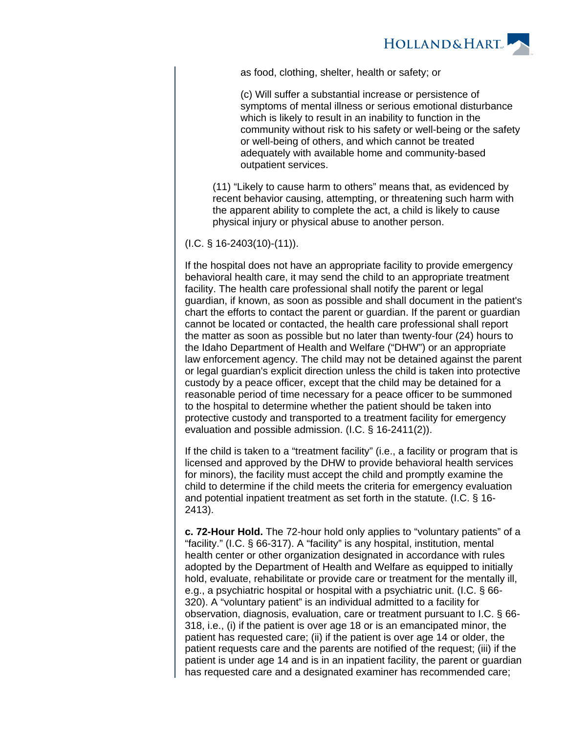

as food, clothing, shelter, health or safety; or

(c) Will suffer a substantial increase or persistence of symptoms of mental illness or serious emotional disturbance which is likely to result in an inability to function in the community without risk to his safety or well-being or the safety or well-being of others, and which cannot be treated adequately with available home and community-based outpatient services.

(11) "Likely to cause harm to others" means that, as evidenced by recent behavior causing, attempting, or threatening such harm with the apparent ability to complete the act, a child is likely to cause physical injury or physical abuse to another person.

(I.C. § 16-2403(10)-(11)).

If the hospital does not have an appropriate facility to provide emergency behavioral health care, it may send the child to an appropriate treatment facility. The health care professional shall notify the parent or legal guardian, if known, as soon as possible and shall document in the patient's chart the efforts to contact the parent or guardian. If the parent or guardian cannot be located or contacted, the health care professional shall report the matter as soon as possible but no later than twenty-four (24) hours to the Idaho Department of Health and Welfare ("DHW") or an appropriate law enforcement agency. The child may not be detained against the parent or legal guardian's explicit direction unless the child is taken into protective custody by a peace officer, except that the child may be detained for a reasonable period of time necessary for a peace officer to be summoned to the hospital to determine whether the patient should be taken into protective custody and transported to a treatment facility for emergency evaluation and possible admission. (I.C. § 16-2411(2)).

If the child is taken to a "treatment facility" (i.e., a facility or program that is licensed and approved by the DHW to provide behavioral health services for minors), the facility must accept the child and promptly examine the child to determine if the child meets the criteria for emergency evaluation and potential inpatient treatment as set forth in the statute. (I.C. § 16- 2413).

**c. 72-Hour Hold.** The 72-hour hold only applies to "voluntary patients" of a "facility." (I.C. § 66-317). A "facility" is any hospital, institution, mental health center or other organization designated in accordance with rules adopted by the Department of Health and Welfare as equipped to initially hold, evaluate, rehabilitate or provide care or treatment for the mentally ill, e.g., a psychiatric hospital or hospital with a psychiatric unit. (I.C. § 66- 320). A "voluntary patient" is an individual admitted to a facility for observation, diagnosis, evaluation, care or treatment pursuant to I.C. § 66- 318, i.e., (i) if the patient is over age 18 or is an emancipated minor, the patient has requested care; (ii) if the patient is over age 14 or older, the patient requests care and the parents are notified of the request; (iii) if the patient is under age 14 and is in an inpatient facility, the parent or guardian has requested care and a designated examiner has recommended care;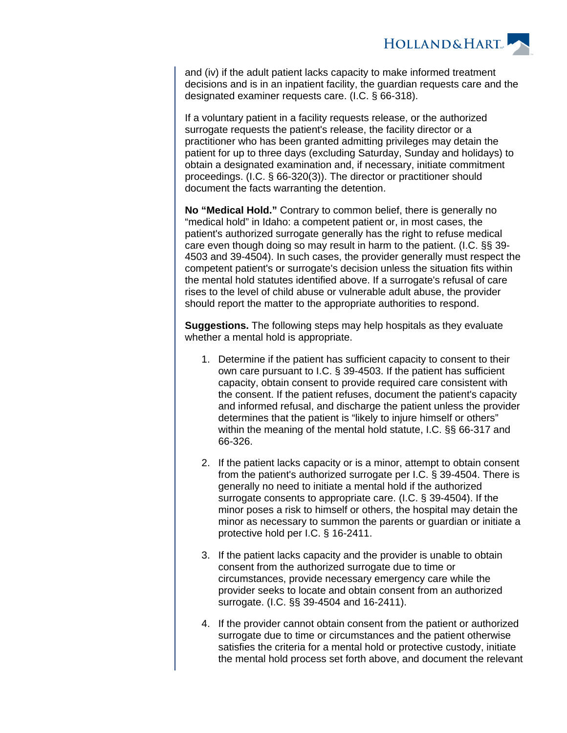

and (iv) if the adult patient lacks capacity to make informed treatment decisions and is in an inpatient facility, the guardian requests care and the designated examiner requests care. (I.C. § 66-318).

If a voluntary patient in a facility requests release, or the authorized surrogate requests the patient's release, the facility director or a practitioner who has been granted admitting privileges may detain the patient for up to three days (excluding Saturday, Sunday and holidays) to obtain a designated examination and, if necessary, initiate commitment proceedings. (I.C. § 66-320(3)). The director or practitioner should document the facts warranting the detention.

**No "Medical Hold."** Contrary to common belief, there is generally no "medical hold" in Idaho: a competent patient or, in most cases, the patient's authorized surrogate generally has the right to refuse medical care even though doing so may result in harm to the patient. (I.C. §§ 39- 4503 and 39-4504). In such cases, the provider generally must respect the competent patient's or surrogate's decision unless the situation fits within the mental hold statutes identified above. If a surrogate's refusal of care rises to the level of child abuse or vulnerable adult abuse, the provider should report the matter to the appropriate authorities to respond.

**Suggestions.** The following steps may help hospitals as they evaluate whether a mental hold is appropriate.

- 1. Determine if the patient has sufficient capacity to consent to their own care pursuant to I.C. § 39-4503. If the patient has sufficient capacity, obtain consent to provide required care consistent with the consent. If the patient refuses, document the patient's capacity and informed refusal, and discharge the patient unless the provider determines that the patient is "likely to injure himself or others" within the meaning of the mental hold statute, I.C. §§ 66-317 and 66-326.
- 2. If the patient lacks capacity or is a minor, attempt to obtain consent from the patient's authorized surrogate per I.C. § 39-4504. There is generally no need to initiate a mental hold if the authorized surrogate consents to appropriate care. (I.C. § 39-4504). If the minor poses a risk to himself or others, the hospital may detain the minor as necessary to summon the parents or guardian or initiate a protective hold per I.C. § 16-2411.
- 3. If the patient lacks capacity and the provider is unable to obtain consent from the authorized surrogate due to time or circumstances, provide necessary emergency care while the provider seeks to locate and obtain consent from an authorized surrogate. (I.C. §§ 39-4504 and 16-2411).
- 4. If the provider cannot obtain consent from the patient or authorized surrogate due to time or circumstances and the patient otherwise satisfies the criteria for a mental hold or protective custody, initiate the mental hold process set forth above, and document the relevant